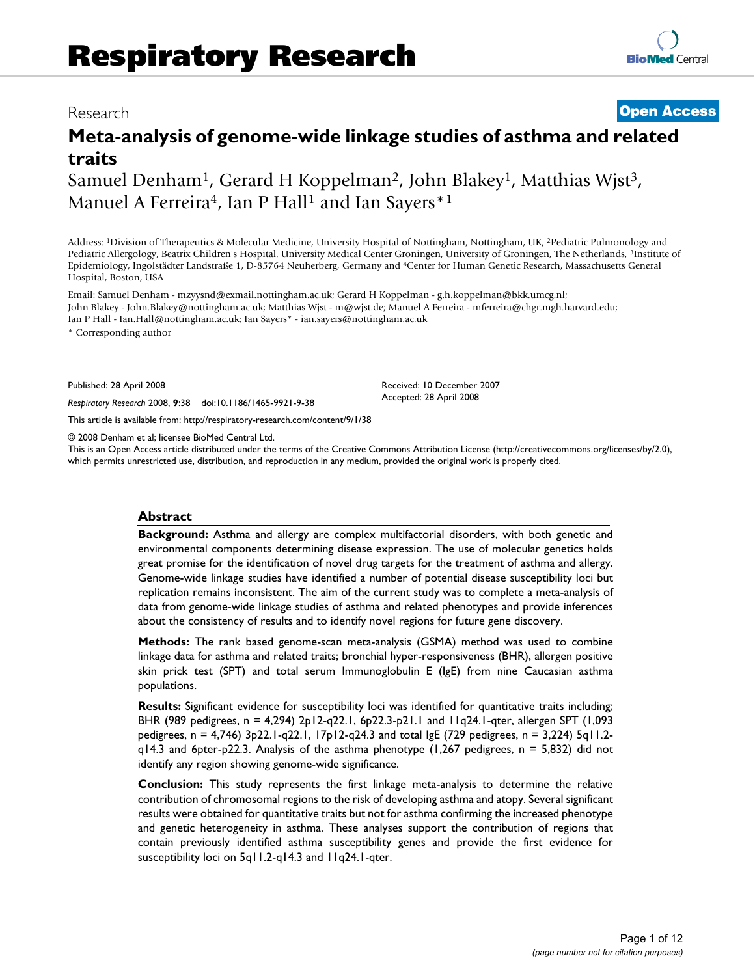# Research **[Open Access](http://www.biomedcentral.com/info/about/charter/)**

# **Meta-analysis of genome-wide linkage studies of asthma and related traits**

Samuel Denham<sup>1</sup>, Gerard H Koppelman<sup>2</sup>, John Blakey<sup>1</sup>, Matthias Wjst<sup>3</sup>, Manuel A Ferreira<sup>4</sup>, Ian P Hall<sup>1</sup> and Ian Sayers<sup>\*1</sup>

Address: 1Division of Therapeutics & Molecular Medicine, University Hospital of Nottingham, Nottingham, UK, 2Pediatric Pulmonology and Pediatric Allergology, Beatrix Children's Hospital, University Medical Center Groningen, University of Groningen, The Netherlands, 3Institute of Epidemiology, Ingolstädter Landstraße 1, D-85764 Neuherberg, Germany and 4Center for Human Genetic Research, Massachusetts General Hospital, Boston, USA

Email: Samuel Denham - mzyysnd@exmail.nottingham.ac.uk; Gerard H Koppelman - g.h.koppelman@bkk.umcg.nl; John Blakey - John.Blakey@nottingham.ac.uk; Matthias Wjst - m@wjst.de; Manuel A Ferreira - mferreira@chgr.mgh.harvard.edu; Ian P Hall - Ian.Hall@nottingham.ac.uk; Ian Sayers\* - ian.sayers@nottingham.ac.uk

\* Corresponding author

Published: 28 April 2008

*Respiratory Research* 2008, **9**:38 doi:10.1186/1465-9921-9-38

[This article is available from: http://respiratory-research.com/content/9/1/38](http://respiratory-research.com/content/9/1/38)

© 2008 Denham et al; licensee BioMed Central Ltd.

This is an Open Access article distributed under the terms of the Creative Commons Attribution License [\(http://creativecommons.org/licenses/by/2.0\)](http://creativecommons.org/licenses/by/2.0), which permits unrestricted use, distribution, and reproduction in any medium, provided the original work is properly cited.

Received: 10 December 2007 Accepted: 28 April 2008

#### **Abstract**

**Background:** Asthma and allergy are complex multifactorial disorders, with both genetic and environmental components determining disease expression. The use of molecular genetics holds great promise for the identification of novel drug targets for the treatment of asthma and allergy. Genome-wide linkage studies have identified a number of potential disease susceptibility loci but replication remains inconsistent. The aim of the current study was to complete a meta-analysis of data from genome-wide linkage studies of asthma and related phenotypes and provide inferences about the consistency of results and to identify novel regions for future gene discovery.

**Methods:** The rank based genome-scan meta-analysis (GSMA) method was used to combine linkage data for asthma and related traits; bronchial hyper-responsiveness (BHR), allergen positive skin prick test (SPT) and total serum Immunoglobulin E (IgE) from nine Caucasian asthma populations.

**Results:** Significant evidence for susceptibility loci was identified for quantitative traits including; BHR (989 pedigrees, n = 4,294) 2p12-q22.1, 6p22.3-p21.1 and 11q24.1-qter, allergen SPT (1,093 pedigrees, n = 4,746) 3p22.1-q22.1, 17p12-q24.3 and total IgE (729 pedigrees, n = 3,224) 5q11.2 q14.3 and 6pter-p22.3. Analysis of the asthma phenotype (1,267 pedigrees, n = 5,832) did not identify any region showing genome-wide significance.

**Conclusion:** This study represents the first linkage meta-analysis to determine the relative contribution of chromosomal regions to the risk of developing asthma and atopy. Several significant results were obtained for quantitative traits but not for asthma confirming the increased phenotype and genetic heterogeneity in asthma. These analyses support the contribution of regions that contain previously identified asthma susceptibility genes and provide the first evidence for susceptibility loci on 5q11.2-q14.3 and 11q24.1-qter.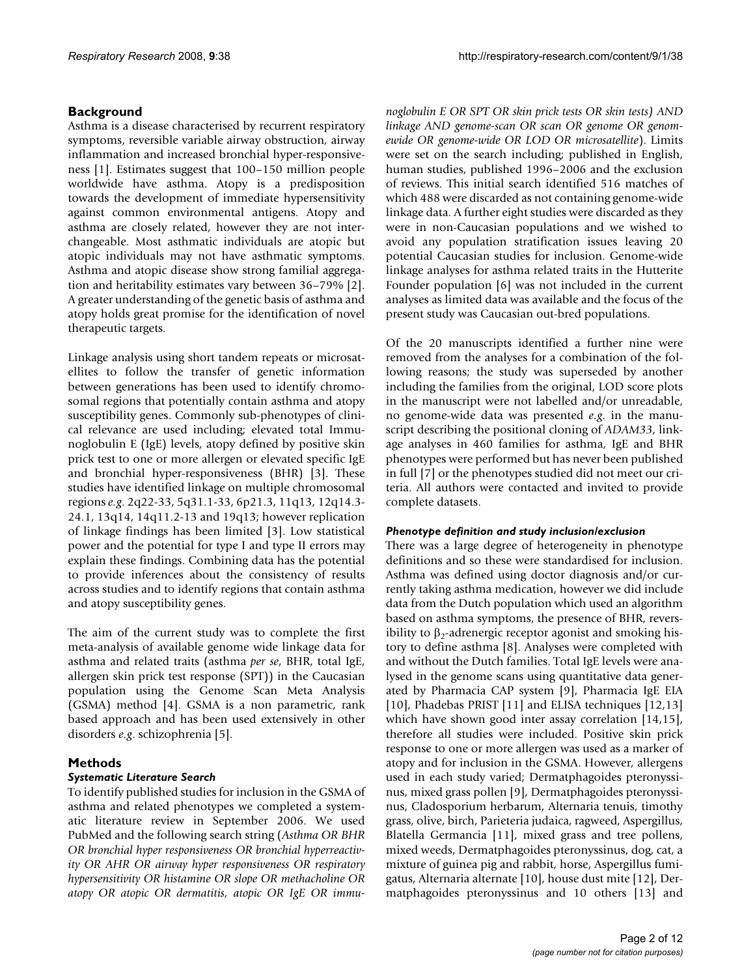# **Background**

Asthma is a disease characterised by recurrent respiratory symptoms, reversible variable airway obstruction, airway inflammation and increased bronchial hyper-responsiveness [1]. Estimates suggest that 100–150 million people worldwide have asthma. Atopy is a predisposition towards the development of immediate hypersensitivity against common environmental antigens. Atopy and asthma are closely related, however they are not interchangeable. Most asthmatic individuals are atopic but atopic individuals may not have asthmatic symptoms. Asthma and atopic disease show strong familial aggregation and heritability estimates vary between 36–79% [2]. A greater understanding of the genetic basis of asthma and atopy holds great promise for the identification of novel therapeutic targets.

Linkage analysis using short tandem repeats or microsatellites to follow the transfer of genetic information between generations has been used to identify chromosomal regions that potentially contain asthma and atopy susceptibility genes. Commonly sub-phenotypes of clinical relevance are used including; elevated total Immunoglobulin E (IgE) levels, atopy defined by positive skin prick test to one or more allergen or elevated specific IgE and bronchial hyper-responsiveness (BHR) [3]. These studies have identified linkage on multiple chromosomal regions *e.g*. 2q22-33, 5q31.1-33, 6p21.3, 11q13, 12q14.3- 24.1, 13q14, 14q11.2-13 and 19q13; however replication of linkage findings has been limited [3]. Low statistical power and the potential for type I and type II errors may explain these findings. Combining data has the potential to provide inferences about the consistency of results across studies and to identify regions that contain asthma and atopy susceptibility genes.

The aim of the current study was to complete the first meta-analysis of available genome wide linkage data for asthma and related traits (asthma *per se*, BHR, total IgE, allergen skin prick test response (SPT)) in the Caucasian population using the Genome Scan Meta Analysis (GSMA) method [4]. GSMA is a non parametric, rank based approach and has been used extensively in other disorders *e.g*. schizophrenia [5].

# **Methods**

# *Systematic Literature Search*

To identify published studies for inclusion in the GSMA of asthma and related phenotypes we completed a systematic literature review in September 2006. We used PubMed and the following search string (*Asthma OR BHR OR bronchial hyper responsiveness OR bronchial hyperreactivity OR AHR OR airway hyper responsiveness OR respiratory hypersensitivity OR histamine OR slope OR methacholine OR atopy OR atopic OR dermatitis, atopic OR IgE OR immu-* *noglobulin E OR SPT OR skin prick tests OR skin tests) AND linkage AND genome-scan OR scan OR genome OR genomewide OR genome-wide OR LOD OR microsatellite*). Limits were set on the search including; published in English, human studies, published 1996–2006 and the exclusion of reviews. This initial search identified 516 matches of which 488 were discarded as not containing genome-wide linkage data. A further eight studies were discarded as they were in non-Caucasian populations and we wished to avoid any population stratification issues leaving 20 potential Caucasian studies for inclusion. Genome-wide linkage analyses for asthma related traits in the Hutterite Founder population [6] was not included in the current analyses as limited data was available and the focus of the present study was Caucasian out-bred populations.

Of the 20 manuscripts identified a further nine were removed from the analyses for a combination of the following reasons; the study was superseded by another including the families from the original, LOD score plots in the manuscript were not labelled and/or unreadable, no genome-wide data was presented *e.g*. in the manuscript describing the positional cloning of *ADAM33*, linkage analyses in 460 families for asthma, IgE and BHR phenotypes were performed but has never been published in full [7] or the phenotypes studied did not meet our criteria. All authors were contacted and invited to provide complete datasets.

# *Phenotype definition and study inclusion/exclusion*

There was a large degree of heterogeneity in phenotype definitions and so these were standardised for inclusion. Asthma was defined using doctor diagnosis and/or currently taking asthma medication, however we did include data from the Dutch population which used an algorithm based on asthma symptoms, the presence of BHR, reversibility to  $\beta_2$ -adrenergic receptor agonist and smoking history to define asthma [8]. Analyses were completed with and without the Dutch families. Total IgE levels were analysed in the genome scans using quantitative data generated by Pharmacia CAP system [9], Pharmacia IgE EIA [10], Phadebas PRIST [11] and ELISA techniques [12,13] which have shown good inter assay correlation [14,15], therefore all studies were included. Positive skin prick response to one or more allergen was used as a marker of atopy and for inclusion in the GSMA. However, allergens used in each study varied; Dermatphagoides pteronyssinus, mixed grass pollen [9], Dermatphagoides pteronyssinus, Cladosporium herbarum, Alternaria tenuis, timothy grass, olive, birch, Parieteria judaica, ragweed, Aspergillus, Blatella Germancia [11], mixed grass and tree pollens, mixed weeds, Dermatphagoides pteronyssinus, dog, cat, a mixture of guinea pig and rabbit, horse, Aspergillus fumigatus, Alternaria alternate [10], house dust mite [12], Dermatphagoides pteronyssinus and 10 others [13] and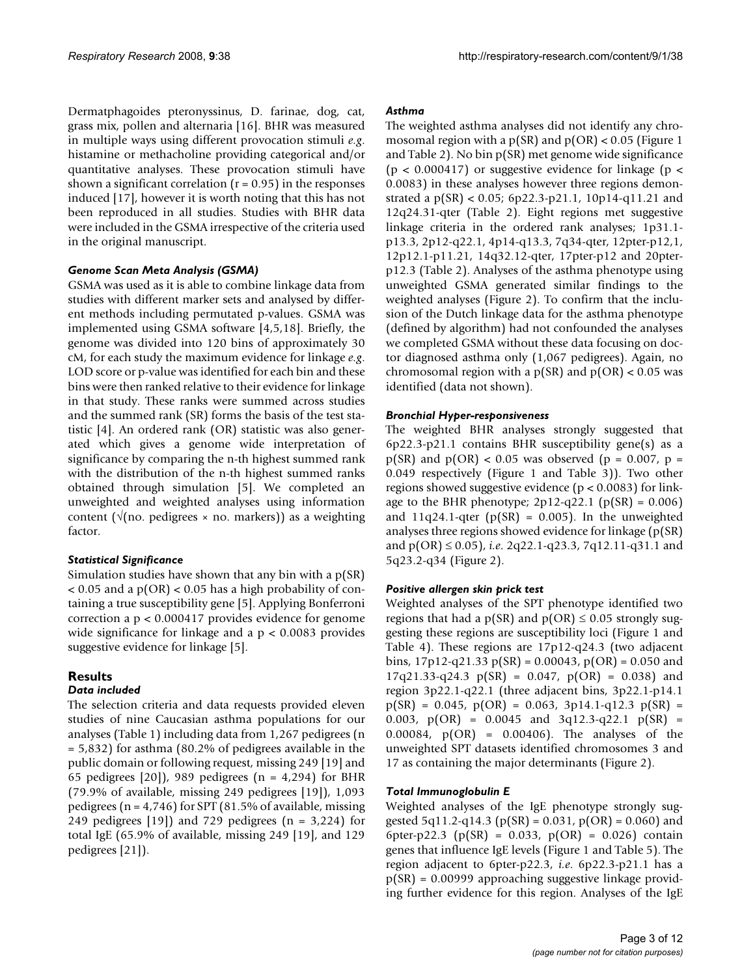Dermatphagoides pteronyssinus, D. farinae, dog, cat, grass mix, pollen and alternaria [16]. BHR was measured in multiple ways using different provocation stimuli *e.g*. histamine or methacholine providing categorical and/or quantitative analyses. These provocation stimuli have shown a significant correlation  $(r = 0.95)$  in the responses induced [17], however it is worth noting that this has not been reproduced in all studies. Studies with BHR data were included in the GSMA irrespective of the criteria used in the original manuscript.

#### *Genome Scan Meta Analysis (GSMA)*

GSMA was used as it is able to combine linkage data from studies with different marker sets and analysed by different methods including permutated p-values. GSMA was implemented using GSMA software [4,5,18]. Briefly, the genome was divided into 120 bins of approximately 30 cM, for each study the maximum evidence for linkage *e.g*. LOD score or p-value was identified for each bin and these bins were then ranked relative to their evidence for linkage in that study. These ranks were summed across studies and the summed rank (SR) forms the basis of the test statistic [4]. An ordered rank (OR) statistic was also generated which gives a genome wide interpretation of significance by comparing the n-th highest summed rank with the distribution of the n-th highest summed ranks obtained through simulation [5]. We completed an unweighted and weighted analyses using information content ( $\sqrt{(n\omega)}$  pedigrees × no. markers)) as a weighting factor.

# *Statistical Significance*

Simulation studies have shown that any bin with a p(SR)  $< 0.05$  and a p(OR)  $< 0.05$  has a high probability of containing a true susceptibility gene [5]. Applying Bonferroni correction a p < 0.000417 provides evidence for genome wide significance for linkage and a  $p < 0.0083$  provides suggestive evidence for linkage [5].

# **Results**

#### *Data included*

The selection criteria and data requests provided eleven studies of nine Caucasian asthma populations for our analyses (Table 1) including data from 1,267 pedigrees (n = 5,832) for asthma (80.2% of pedigrees available in the public domain or following request, missing 249 [19] and 65 pedigrees  $[20]$ , 989 pedigrees  $(n = 4,294)$  for BHR (79.9% of available, missing 249 pedigrees [19]), 1,093 pedigrees ( $n = 4,746$ ) for SPT (81.5% of available, missing 249 pedigrees  $[19]$  and 729 pedigrees  $(n = 3,224)$  for total IgE (65.9% of available, missing 249 [19], and 129 pedigrees [21]).

### *Asthma*

The weighted asthma analyses did not identify any chromosomal region with a  $p(SR)$  and  $p(OR) < 0.05$  (Figure 1 and Table 2). No bin p(SR) met genome wide significance ( $p < 0.000417$ ) or suggestive evidence for linkage ( $p <$ 0.0083) in these analyses however three regions demonstrated a p(SR) < 0.05; 6p22.3-p21.1, 10p14-q11.21 and 12q24.31-qter (Table 2). Eight regions met suggestive linkage criteria in the ordered rank analyses; 1p31.1 p13.3, 2p12-q22.1, 4p14-q13.3, 7q34-qter, 12pter-p12,1, 12p12.1-p11.21, 14q32.12-qter, 17pter-p12 and 20pterp12.3 (Table 2). Analyses of the asthma phenotype using unweighted GSMA generated similar findings to the weighted analyses (Figure 2). To confirm that the inclusion of the Dutch linkage data for the asthma phenotype (defined by algorithm) had not confounded the analyses we completed GSMA without these data focusing on doctor diagnosed asthma only (1,067 pedigrees). Again, no chromosomal region with a  $p(SR)$  and  $p(OR) < 0.05$  was identified (data not shown).

### *Bronchial Hyper-responsiveness*

The weighted BHR analyses strongly suggested that 6p22.3-p21.1 contains BHR susceptibility gene(s) as a  $p(SR)$  and  $p(OR) < 0.05$  was observed ( $p = 0.007$ ,  $p =$ 0.049 respectively (Figure 1 and Table 3)). Two other regions showed suggestive evidence (p < 0.0083) for linkage to the BHR phenotype; 2p12-q22.1 ( $p(SR) = 0.006$ ) and  $11q24.1$ -qter (p(SR) = 0.005). In the unweighted analyses three regions showed evidence for linkage (p(SR) and p(OR) ≤ 0.05), *i.e*. 2q22.1-q23.3, 7q12.11-q31.1 and 5q23.2-q34 (Figure 2).

# *Positive allergen skin prick test*

Weighted analyses of the SPT phenotype identified two regions that had a  $p(SR)$  and  $p(OR) \le 0.05$  strongly suggesting these regions are susceptibility loci (Figure 1 and Table 4). These regions are 17p12-q24.3 (two adjacent bins,  $17p12-q21.33 p(SR) = 0.00043$ ,  $p(OR) = 0.050$  and  $17q21.33-q24.3 \text{ p(SR)} = 0.047, \text{ p(OR)} = 0.038 \text{ and}$ region 3p22.1-q22.1 (three adjacent bins, 3p22.1-p14.1  $p(SR) = 0.045$ ,  $p(OR) = 0.063$ ,  $3p14.1-q12.3$   $p(SR) =$ 0.003,  $p(OR) = 0.0045$  and  $3q12.3-q22.1$   $p(SR) =$ 0.00084, p(OR) = 0.00406). The analyses of the unweighted SPT datasets identified chromosomes 3 and 17 as containing the major determinants (Figure 2).

#### *Total Immunoglobulin E*

Weighted analyses of the IgE phenotype strongly suggested 5q11.2-q14.3 ( $p(SR) = 0.031$ ,  $p(OR) = 0.060$ ) and 6pter-p22.3 (p(SR) =  $0.033$ , p(OR) =  $0.026$ ) contain genes that influence IgE levels (Figure 1 and Table 5). The region adjacent to 6pter-p22.3, *i.e*. 6p22.3-p21.1 has a p(SR) = 0.00999 approaching suggestive linkage providing further evidence for this region. Analyses of the IgE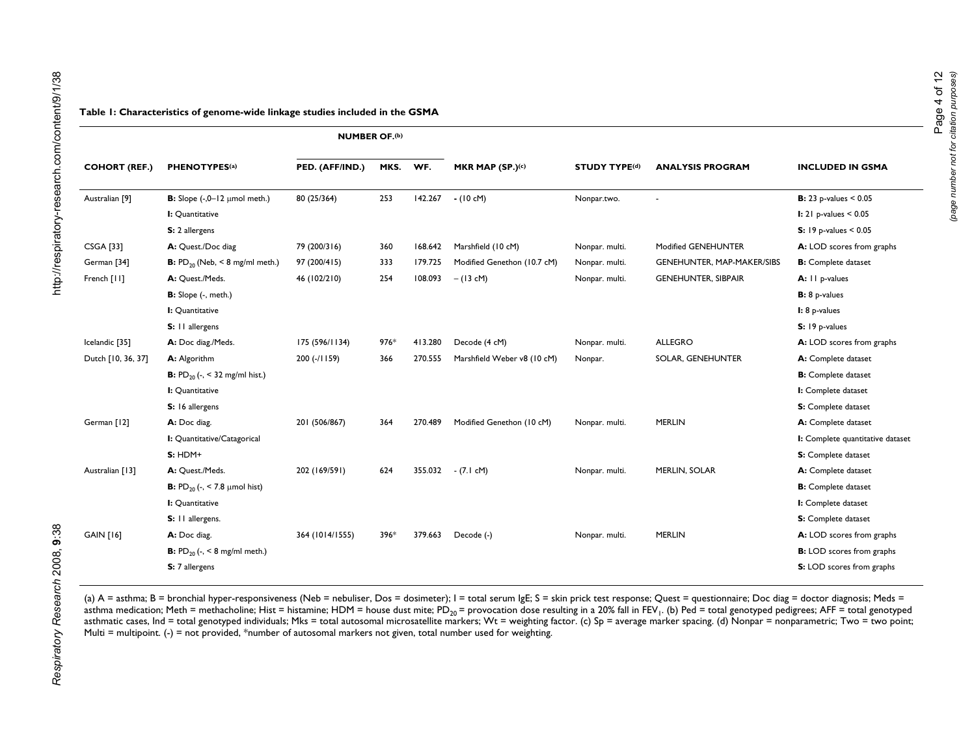|                           |                                                        | <b>NUMBER OF.(b)</b> |      |         |                             |                      |                            |                                  |
|---------------------------|--------------------------------------------------------|----------------------|------|---------|-----------------------------|----------------------|----------------------------|----------------------------------|
| <b>COHORT (REF.)</b>      | <b>PHENOTYPES(a)</b>                                   | PED. (AFF/IND.)      | MKS. | WF.     | MKR MAP (SP.)(c)            | <b>STUDY TYPE(d)</b> | <b>ANALYSIS PROGRAM</b>    | <b>INCLUDED IN GSMA</b>          |
| Australian <sup>[9]</sup> | <b>B:</b> Slope $(-,0-12 \mu \text{mol} \text{meth.})$ | 80 (25/364)          | 253  | 142.267 | $- (10 cM)$                 | Nonpar.two.          |                            | <b>B</b> : 23 p-values < $0.05$  |
|                           | I: Quantitative                                        |                      |      |         |                             |                      |                            | <b>I:</b> $21$ p-values < $0.05$ |
|                           | S: 2 allergens                                         |                      |      |         |                             |                      |                            | <b>S:</b> 19 p-values $< 0.05$   |
| <b>CSGA [33]</b>          | A: Quest./Doc diag                                     | 79 (200/316)         | 360  | 168.642 | Marshfield (10 cM)          | Nonpar. multi.       | Modified GENEHUNTER        | A: LOD scores from graphs        |
| German <sup>[34]</sup>    | <b>B:</b> $PD_{20}$ (Neb, < 8 mg/ml meth.)             | 97 (200/415)         | 333  | 179.725 | Modified Genethon (10.7 cM) | Nonpar. multi.       | GENEHUNTER, MAP-MAKER/SIBS | <b>B:</b> Complete dataset       |
| French [11]               | A: Quest./Meds.                                        | 46 (102/210)         | 254  | 108.093 | $- (13 cM)$                 | Nonpar. multi.       | <b>GENEHUNTER, SIBPAIR</b> | A: 11 p-values                   |
|                           | B: Slope (-, meth.)                                    |                      |      |         |                             |                      |                            | <b>B</b> : 8 p-values            |
|                           | I: Quantitative                                        |                      |      |         |                             |                      |                            | I: 8 p-values                    |
|                           | S: 11 allergens                                        |                      |      |         |                             |                      |                            | S: 19 p-values                   |
| Icelandic [35]            | A: Doc diag./Meds.                                     | 175 (596/1134)       | 976* | 413.280 | Decode (4 cM)               | Nonpar. multi.       | <b>ALLEGRO</b>             | A: LOD scores from graphs        |
| Dutch [10, 36, 37]        | A: Algorithm                                           | 200 (-/1159)         | 366  | 270.555 | Marshfield Weber v8 (10 cM) | Nonpar.              | SOLAR, GENEHUNTER          | A: Complete dataset              |
|                           | <b>B:</b> PD <sub>20</sub> (-, < 32 mg/ml hist.)       |                      |      |         |                             |                      |                            | <b>B:</b> Complete dataset       |
|                           | I: Quantitative                                        |                      |      |         |                             |                      |                            | I: Complete dataset              |
|                           | S: 16 allergens                                        |                      |      |         |                             |                      |                            | S: Complete dataset              |
| German [12]               | A: Doc diag.                                           | 201 (506/867)        | 364  | 270.489 | Modified Genethon (10 cM)   | Nonpar. multi.       | <b>MERLIN</b>              | A: Complete dataset              |
|                           | I: Quantitative/Catagorical                            |                      |      |         |                             |                      |                            | I: Complete quantitative dataset |
|                           | $S: HDM+$                                              |                      |      |         |                             |                      |                            | S: Complete dataset              |
| Australian [13]           | A: Quest./Meds.                                        | 202 (169/591)        | 624  | 355.032 | $-(7.1 \text{ cM})$         | Nonpar. multi.       | <b>MERLIN, SOLAR</b>       | A: Complete dataset              |
|                           | <b>B:</b> PD <sub>20</sub> (-, < 7.8 µmol hist)        |                      |      |         |                             |                      |                            | <b>B:</b> Complete dataset       |
|                           | I: Quantitative                                        |                      |      |         |                             |                      |                            | I: Complete dataset              |
|                           | S: 11 allergens.                                       |                      |      |         |                             |                      |                            | S: Complete dataset              |
| <b>GAIN [16]</b>          | A: Doc diag.                                           | 364 (1014/1555)      | 396* | 379.663 | Decode (-)                  | Nonpar. multi.       | <b>MERLIN</b>              | A: LOD scores from graphs        |
|                           | <b>B:</b> $PD_{20}$ (-, < 8 mg/ml meth.)               |                      |      |         |                             |                      |                            | <b>B:</b> LOD scores from graphs |
|                           | S: 7 allergens                                         |                      |      |         |                             |                      |                            | S: LOD scores from graphs        |

Respiratory Research 2008, 9:38

(a) A = asthma; B = bronchial hyper-responsiveness (Neb = nebuliser, Dos = dosimeter); I = total serum IgE; S = skin prick test response; Quest = questionnaire; Doc diag = doctor diagnosis; Meds = asthma medication; Meth = methacholine; Hist = histamine; HDM = house dust mite; PD<sub>20</sub> = provocation dose resulting in a 20% fall in FEV<sub>1</sub>. (b) Ped = total genotyped pedigrees; AFF = total genotyped asthmatic cases, Ind = total genotyped individuals; Mks = total autosomal microsatellite markers; Wt = weighting factor. (c) Sp = average marker spacing. (d) Nonpar = nonparametric; Two = two point; Multi = multipoint. (-) = not provided, \*number of autosomal markers not given, total number used for weighting.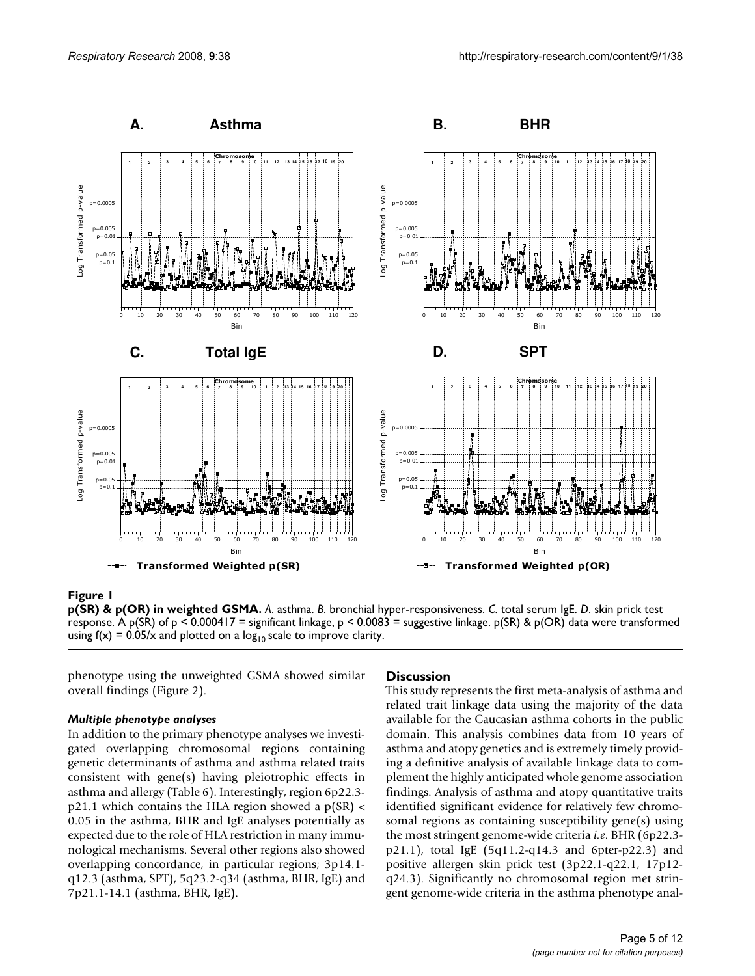

#### **Figure 1**

**p(SR) & p(OR) in weighted GSMA.** *A*. asthma. *B*. bronchial hyper-responsiveness. *C*. total serum IgE. *D*. skin prick test response. A p(SR) of p < 0.000417 = significant linkage, p < 0.0083 = suggestive linkage. p(SR) & p(OR) data were transformed using  $f(x) = 0.05/x$  and plotted on a log<sub>10</sub> scale to improve clarity.

phenotype using the unweighted GSMA showed similar overall findings (Figure 2).

#### *Multiple phenotype analyses*

In addition to the primary phenotype analyses we investigated overlapping chromosomal regions containing genetic determinants of asthma and asthma related traits consistent with gene(s) having pleiotrophic effects in asthma and allergy (Table 6). Interestingly, region 6p22.3  $p21.1$  which contains the HLA region showed a  $p(SR)$  < 0.05 in the asthma, BHR and IgE analyses potentially as expected due to the role of HLA restriction in many immunological mechanisms. Several other regions also showed overlapping concordance, in particular regions; 3p14.1 q12.3 (asthma, SPT), 5q23.2-q34 (asthma, BHR, IgE) and 7p21.1-14.1 (asthma, BHR, IgE).

#### **Discussion**

This study represents the first meta-analysis of asthma and related trait linkage data using the majority of the data available for the Caucasian asthma cohorts in the public domain. This analysis combines data from 10 years of asthma and atopy genetics and is extremely timely providing a definitive analysis of available linkage data to complement the highly anticipated whole genome association findings. Analysis of asthma and atopy quantitative traits identified significant evidence for relatively few chromosomal regions as containing susceptibility gene(s) using the most stringent genome-wide criteria *i.e*. BHR (6p22.3 p21.1), total IgE (5q11.2-q14.3 and 6pter-p22.3) and positive allergen skin prick test (3p22.1-q22.1, 17p12 q24.3). Significantly no chromosomal region met stringent genome-wide criteria in the asthma phenotype anal-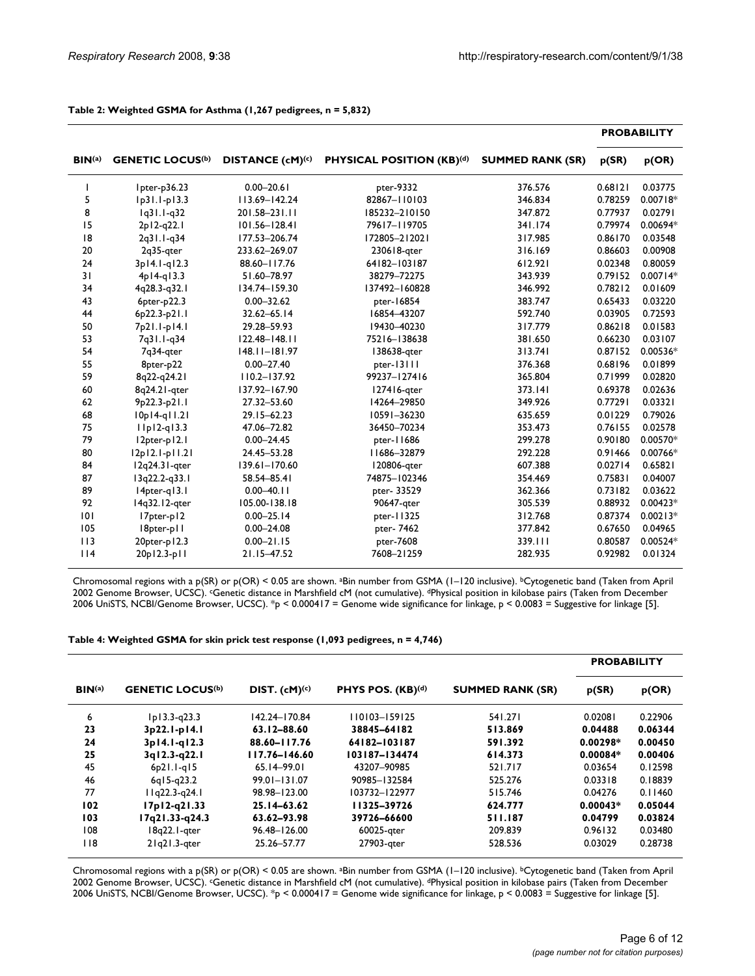| BIN <sup>(a)</sup><br><b>GENETIC LOCUS(b)</b> |                              |                              |                                  |                         |         | <b>PROBABILITY</b> |
|-----------------------------------------------|------------------------------|------------------------------|----------------------------------|-------------------------|---------|--------------------|
|                                               |                              | DISTANCE (cM) <sup>(c)</sup> | <b>PHYSICAL POSITION (KB)(d)</b> | <b>SUMMED RANK (SR)</b> | p(SR)   | p(OR)              |
| I                                             | Ipter-p36.23                 | $0.00 - 20.61$               | pter-9332                        | 376.576                 | 0.68121 | 0.03775            |
| 5                                             | $lp31.1-p13.3$               | 113.69-142.24                | 82867-110103                     | 346.834                 | 0.78259 | $0.00718*$         |
| 8                                             | $1q31.1-q32$                 | 201.58-231.11                | 185232-210150                    | 347.872                 | 0.77937 | 0.02791            |
| 15                                            | 2p12-q22.1                   | $101.56 - 128.41$            | 79617-119705                     | 341.174                 | 0.79974 | 0.00694*           |
| 8                                             | 2q31.1-q34                   | 177.53-206.74                | 172805-212021                    | 317.985                 | 0.86170 | 0.03548            |
| 20                                            | 2q35-qter                    | 233.62-269.07                | 230618-gter                      | 316.169                 | 0.86603 | 0.00908            |
| 24                                            | 3p14.1-g12.3                 | 88.60-117.76                 | 64182-103187                     | 612.921                 | 0.02348 | 0.80059            |
| 31                                            | $4p14-q13.3$                 | 51.60-78.97                  | 38279-72275                      | 343.939                 | 0.79152 | $0.00714*$         |
| 34                                            | 4q28.3-q32.1                 | 134.74-159.30                | 137492-160828                    | 346.992                 | 0.78212 | 0.01609            |
| 43                                            | 6pter-p22.3                  | $0.00 - 32.62$               | pter-16854                       | 383.747                 | 0.65433 | 0.03220            |
| 44                                            | 6p22.3-p21.1                 | 32.62-65.14                  | 16854-43207                      | 592.740                 | 0.03905 | 0.72593            |
| 50                                            | 7p21.1-p14.1                 | 29.28-59.93                  | 19430-40230                      | 317.779                 | 0.86218 | 0.01583            |
| 53                                            | 7q31.1-q34                   | $122.48 - 148.11$            | 75216-138638                     | 381.650                 | 0.66230 | 0.03107            |
| 54                                            | 7q34-gter                    | $148.11 - 181.97$            | 138638-gter                      | 313.741                 | 0.87152 | 0.00536*           |
| 55                                            | 8pter-p22                    | $0.00 - 27.40$               | pter-13111                       | 376.368                 | 0.68196 | 0.01899            |
| 59                                            | 8q22-q24.21                  | $110.2 - 137.92$             | 99237-127416                     | 365.804                 | 0.71999 | 0.02820            |
| 60                                            | 8q24.21-gter                 | 137.92-167.90                | 127416-gter                      | 373.141                 | 0.69378 | 0.02636            |
| 62                                            | 9p22.3-p21.1                 | 27.32-53.60                  | 14264-29850                      | 349.926                 | 0.77291 | 0.03321            |
| 68                                            | $10p14-q11.21$               | 29.15-62.23                  | 10591-36230                      | 635.659                 | 0.01229 | 0.79026            |
| 75                                            | $I$   $p$   $2$ -q $l$ $3.3$ | 47.06-72.82                  | 36450-70234                      | 353.473                 | 0.76155 | 0.02578            |
| 79                                            | 12pter-p12.1                 | $0.00 - 24.45$               | pter-11686                       | 299.278                 | 0.90180 | 0.00570*           |
| 80                                            | 12p12.1-p11.21               | 24.45-53.28                  | 11686-32879                      | 292.228                 | 0.91466 | 0.00766*           |
| 84                                            | 12q24.31-qter                | $139.61 - 170.60$            | 120806-gter                      | 607.388                 | 0.02714 | 0.65821            |
| 87                                            | 13q22.2-q33.1                | 58.54-85.41                  | 74875-102346                     | 354.469                 | 0.75831 | 0.04007            |
| 89                                            | I4pter-q13.1                 | $0.00 - 40.11$               | pter-33529                       | 362.366                 | 0.73182 | 0.03622            |
| 92                                            | 14q32.12-qter                | 105.00-138.18                | 90647-qter                       | 305.539                 | 0.88932 | $0.00423*$         |
| 0                                             | l7pter-pl2                   | $0.00 - 25.14$               | pter-11325                       | 312.768                 | 0.87374 | $0.00213*$         |
| 105                                           | 18pter-pll                   | $0.00 - 24.08$               | pter-7462                        | 377.842                 | 0.67650 | 0.04965            |
| 113                                           | 20pter-p12.3                 | $0.00 - 21.15$               | pter-7608                        | 339.111                 | 0.80587 | $0.00524*$         |
| 114                                           | 20p12.3-p11                  | 21.15-47.52                  | 7608-21259                       | 282.935                 | 0.92982 | 0.01324            |

#### **Table 2: Weighted GSMA for Asthma (1,267 pedigrees, n = 5,832)**

Chromosomal regions with a p(SR) or p(OR) < 0.05 are shown. aBin number from GSMA (1–120 inclusive). bCytogenetic band (Taken from April 2002 Genome Browser, UCSC). cGenetic distance in Marshfield cM (not cumulative). dPhysical position in kilobase pairs (Taken from December 2006 UniSTS, NCBI/Genome Browser, UCSC). \*p < 0.000417 = Genome wide significance for linkage, p < 0.0083 = Suggestive for linkage [5].

#### **Table 4: Weighted GSMA for skin prick test response (1,093 pedigrees, n = 4,746)**

|                      |                                    |                    |                               |                         | <b>PROBABILITY</b> |         |  |
|----------------------|------------------------------------|--------------------|-------------------------------|-------------------------|--------------------|---------|--|
| $\mathbf{BIN}^{(a)}$ | <b>GENETIC LOCUS<sup>(b)</sup></b> | $DIST. (cM)^{(c)}$ | PHYS POS. (KB) <sup>(d)</sup> | <b>SUMMED RANK (SR)</b> | p(SR)              | p(OR)   |  |
| 6                    | $lp13.3-q23.3$                     | 142.24-170.84      | $110103 - 159125$             | 541.271                 | 0.02081            | 0.22906 |  |
| 23                   | 3p22.1-p14.1                       | 63.12-88.60        | 38845-64182                   | 513.869                 | 0.04488            | 0.06344 |  |
| 24                   | 3p14.1-g12.3                       | 88.60-117.76       | 64182-103187                  | 591.392                 | $0.00298*$         | 0.00450 |  |
| 25                   | 3q12.3-q22.1                       | 117.76-146.60      | 103187-134474                 | 614.373                 | $0.00084*$         | 0.00406 |  |
| 45                   | $6p21.1-q15$                       | 65.14-99.01        | 43207-90985                   | 521.717                 | 0.03654            | 0.12598 |  |
| 46                   | $6q15-q23.2$                       | $99.01 - 131.07$   | 90985-132584                  | 525.276                 | 0.03318            | 0.18839 |  |
| 77                   | $I$ $I$ $q$ 22.3- $q$ 24.1         | 98.98-123.00       | 103732-122977                 | 515.746                 | 0.04276            | 0.11460 |  |
| 102                  | $17p12-q21.33$                     | 25.14-63.62        | 11325-39726                   | 624.777                 | $0.00043*$         | 0.05044 |  |
| 103                  | I7q21.33-q24.3                     | 63.62-93.98        | 39726-66600                   | 511.187                 | 0.04799            | 0.03824 |  |
| 108                  | 18q22.1-qter                       | 96.48-126.00       | 60025-gter                    | 209.839                 | 0.96132            | 0.03480 |  |
| <b>118</b>           | $2$ <sub>l</sub> q $2$ l.3-qter    | 25.26-57.77        | 27903-gter                    | 528.536                 | 0.03029            | 0.28738 |  |

Chromosomal regions with a p(SR) or p(OR) < 0.05 are shown. aBin number from GSMA (1–120 inclusive). bCytogenetic band (Taken from April 2002 Genome Browser, UCSC). cGenetic distance in Marshfield cM (not cumulative). dPhysical position in kilobase pairs (Taken from December 2006 UniSTS, NCBI/Genome Browser, UCSC). \*p < 0.000417 = Genome wide significance for linkage, p < 0.0083 = Suggestive for linkage [5].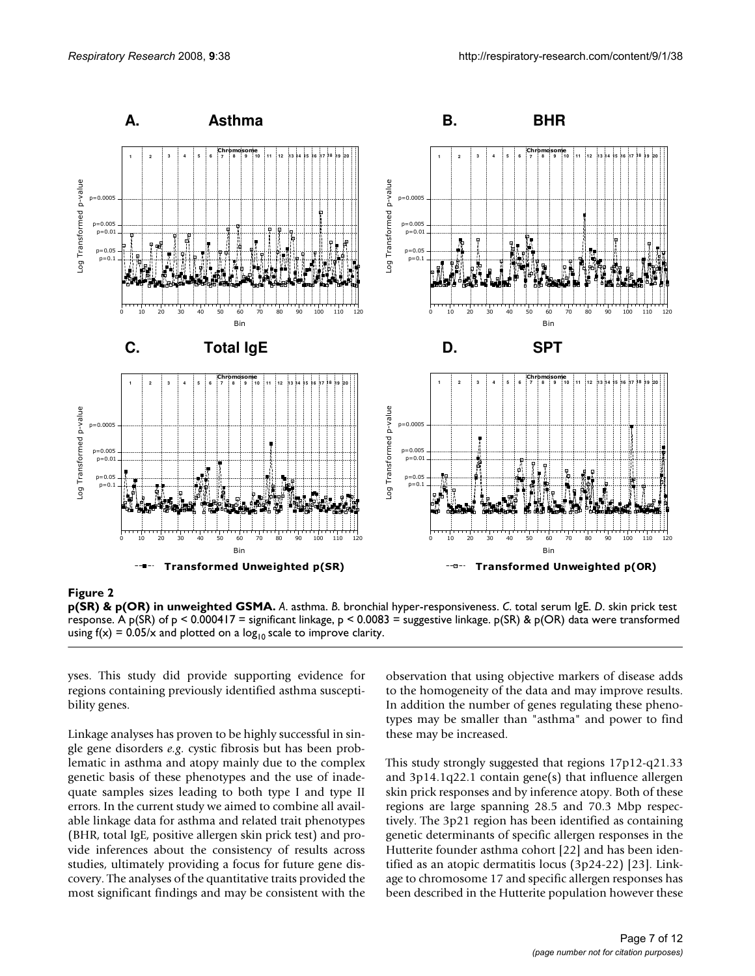

# **Figure 2**

**p(SR) & p(OR) in unweighted GSMA.** *A*. asthma. *B*. bronchial hyper-responsiveness. *C*. total serum IgE. *D*. skin prick test response. A p(SR) of p < 0.000417 = significant linkage, p < 0.0083 = suggestive linkage. p(SR) & p(OR) data were transformed using  $f(x) = 0.05/x$  and plotted on a  $log_{10}$  scale to improve clarity.

yses. This study did provide supporting evidence for regions containing previously identified asthma susceptibility genes.

Linkage analyses has proven to be highly successful in single gene disorders *e.g*. cystic fibrosis but has been problematic in asthma and atopy mainly due to the complex genetic basis of these phenotypes and the use of inadequate samples sizes leading to both type I and type II errors. In the current study we aimed to combine all available linkage data for asthma and related trait phenotypes (BHR, total IgE, positive allergen skin prick test) and provide inferences about the consistency of results across studies, ultimately providing a focus for future gene discovery. The analyses of the quantitative traits provided the most significant findings and may be consistent with the observation that using objective markers of disease adds to the homogeneity of the data and may improve results. In addition the number of genes regulating these phenotypes may be smaller than "asthma" and power to find these may be increased.

This study strongly suggested that regions 17p12-q21.33 and 3p14.1q22.1 contain gene(s) that influence allergen skin prick responses and by inference atopy. Both of these regions are large spanning 28.5 and 70.3 Mbp respectively. The 3p21 region has been identified as containing genetic determinants of specific allergen responses in the Hutterite founder asthma cohort [22] and has been identified as an atopic dermatitis locus (3p24-22) [23]. Linkage to chromosome 17 and specific allergen responses has been described in the Hutterite population however these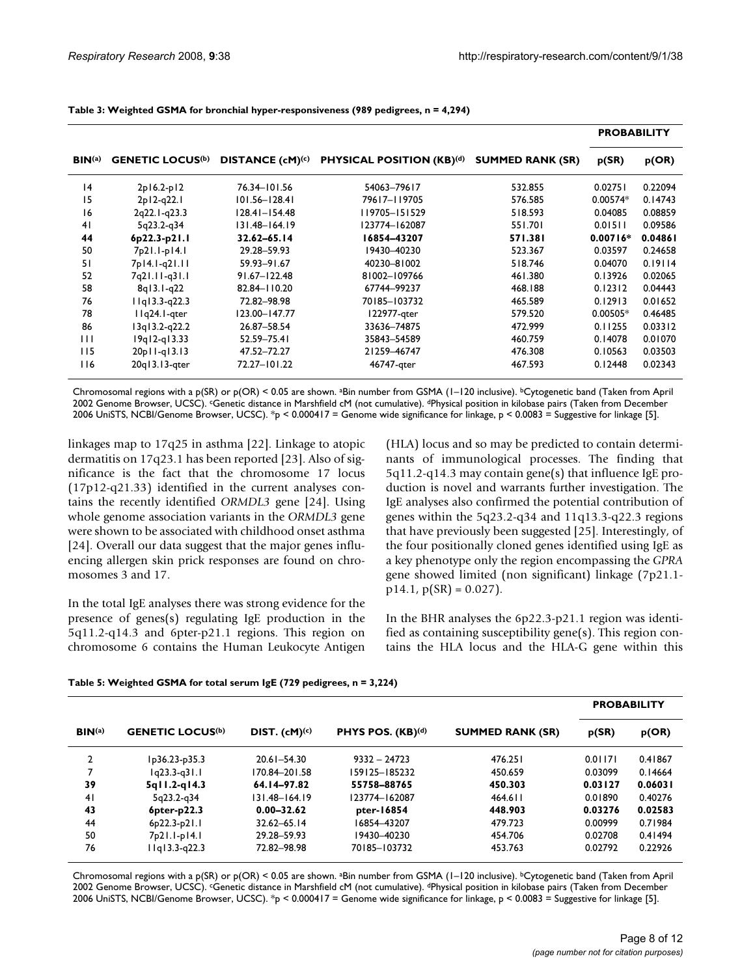|                      |                                    |                              |                                  |                         | <b>PROBABILITY</b> |         |  |
|----------------------|------------------------------------|------------------------------|----------------------------------|-------------------------|--------------------|---------|--|
| $\mathbf{BIN}^{(a)}$ | <b>GENETIC LOCUS<sup>(b)</sup></b> | DISTANCE (cM) <sup>(c)</sup> | <b>PHYSICAL POSITION (KB)(d)</b> | <b>SUMMED RANK (SR)</b> | p(SR)              | p(OR)   |  |
| 4                    | 2p16.2-p12                         | 76.34-101.56                 | 54063-79617                      | 532.855                 | 0.02751            | 0.22094 |  |
| 15                   | 2p12-q22.1                         | 101.56-128.41                | 79617-119705                     | 576.585                 | $0.00574*$         | 0.14743 |  |
| 16                   | 2q22.1-q23.3                       | $ 28.4  -  54.48 $           | 119705-151529                    | 518.593                 | 0.04085            | 0.08859 |  |
| 41                   | 5q23.2-q34                         | $131.48 - 164.19$            | 123774-162087                    | 551.701                 | 0.01511            | 0.09586 |  |
| 44                   | 6p22.3-p21.1                       | 32.62-65.14                  | 16854-43207                      | 571.381                 | $0.00716*$         | 0.04861 |  |
| 50                   | 7p21.1-p14.1                       | 29.28-59.93                  | 19430-40230                      | 523.367                 | 0.03597            | 0.24658 |  |
| 51                   | 7p14.1-q21.11                      | 59.93-91.67                  | 40230-81002                      | 518.746                 | 0.04070            | 0.19114 |  |
| 52                   | 7q21.11-q31.1                      | $91.67 - 122.48$             | 81002-109766                     | 461.380                 | 0.13926            | 0.02065 |  |
| 58                   | $8q13.1-q22$                       | 82.84-110.20                 | 67744-99237                      | 468.188                 | 0.12312            | 0.04443 |  |
| 76                   | $11q13.3-q22.3$                    | 72.82-98.98                  | 70185-103732                     | 465.589                 | 0.12913            | 0.01652 |  |
| 78                   | $I1q24.1-$ qter                    | 123.00-147.77                | 122977-gter                      | 579.520                 | $0.00505*$         | 0.46485 |  |
| 86                   | $13q13.2-q22.2$                    | 26.87-58.54                  | 33636-74875                      | 472.999                 | 0.11255            | 0.03312 |  |
| $\mathbf{H}$         | $19q12-q13.33$                     | 52.59-75.41                  | 35843-54589                      | 460.759                 | 0.14078            | 0.01070 |  |
| 115                  | $20p11-q13.13$                     | 47.52-72.27                  | 21259-46747                      | 476.308                 | 0.10563            | 0.03503 |  |
| 116                  | 20q13.13-qter                      | 72.27-101.22                 | 46747-qter                       | 467.593                 | 0.12448            | 0.02343 |  |

Chromosomal regions with a p(SR) or p(OR) < 0.05 are shown. aBin number from GSMA (1–120 inclusive). bCytogenetic band (Taken from April 2002 Genome Browser, UCSC). cGenetic distance in Marshfield cM (not cumulative). dPhysical position in kilobase pairs (Taken from December 2006 UniSTS, NCBI/Genome Browser, UCSC). \*p < 0.000417 = Genome wide significance for linkage, p < 0.0083 = Suggestive for linkage [5].

linkages map to 17q25 in asthma [22]. Linkage to atopic dermatitis on 17q23.1 has been reported [23]. Also of significance is the fact that the chromosome 17 locus (17p12-q21.33) identified in the current analyses contains the recently identified *ORMDL3* gene [24]. Using whole genome association variants in the *ORMDL3* gene were shown to be associated with childhood onset asthma [24]. Overall our data suggest that the major genes influencing allergen skin prick responses are found on chromosomes 3 and 17.

In the total IgE analyses there was strong evidence for the presence of genes(s) regulating IgE production in the 5q11.2-q14.3 and 6pter-p21.1 regions. This region on chromosome 6 contains the Human Leukocyte Antigen (HLA) locus and so may be predicted to contain determinants of immunological processes. The finding that 5q11.2-q14.3 may contain gene(s) that influence IgE production is novel and warrants further investigation. The IgE analyses also confirmed the potential contribution of genes within the 5q23.2-q34 and 11q13.3-q22.3 regions that have previously been suggested [25]. Interestingly, of the four positionally cloned genes identified using IgE as a key phenotype only the region encompassing the *GPRA* gene showed limited (non significant) linkage (7p21.1  $p14.1, p(SR) = 0.027$ .

In the BHR analyses the 6p22.3-p21.1 region was identified as containing susceptibility gene(s). This region contains the HLA locus and the HLA-G gene within this

|  |  |  | Table 5: Weighted GSMA for total serum IgE (729 pedigrees, n = 3,224) |
|--|--|--|-----------------------------------------------------------------------|
|--|--|--|-----------------------------------------------------------------------|

|                    |                           |                           |                   |                         | <b>PROBABILITY</b> |         |  |
|--------------------|---------------------------|---------------------------|-------------------|-------------------------|--------------------|---------|--|
| BIN <sub>(a)</sub> | <b>GENETIC LOCUS(b)</b>   | DIST. (cM) <sup>(c)</sup> | PHYS POS. (KB)(d) | <b>SUMMED RANK (SR)</b> | p(SR)              | p(OR)   |  |
| 2                  | Ip36.23-p35.3             | $20.61 - 54.30$           | $9332 - 24723$    | 476.251                 | 0.01171            | 0.41867 |  |
| 7                  | $1q23.3-q31.1$            | 170.84-201.58             | 159125-185232     | 450.659                 | 0.03099            | 0.14664 |  |
| 39                 | $5q11.2-q14.3$            | 64.14-97.82               | 55758-88765       | 450.303                 | 0.03127            | 0.06031 |  |
| 4 <sub>1</sub>     | 5q23.2-q34                | $131.48 - 164.19$         | 123774-162087     | 464.611                 | 0.01890            | 0.40276 |  |
| 43                 | $6pter-p22.3$             | $0.00 - 32.62$            | pter-16854        | 448.903                 | 0.03276            | 0.02583 |  |
| 44                 | $6p22.3-p21.1$            | $32.62 - 65.14$           | 16854-43207       | 479.723                 | 0.00999            | 0.71984 |  |
| 50                 | 7 <sub>p</sub> 21.1-p14.1 | 29.28-59.93               | 19430-40230       | 454.706                 | 0.02708            | 0.41494 |  |
| 76                 | $11q13.3-q22.3$           | 72.82-98.98               | 70185-103732      | 453.763                 | 0.02792            | 0.22926 |  |

Chromosomal regions with a p(SR) or p(OR) < 0.05 are shown. aBin number from GSMA (1–120 inclusive). bCytogenetic band (Taken from April 2002 Genome Browser, UCSC). cGenetic distance in Marshfield cM (not cumulative). dPhysical position in kilobase pairs (Taken from December 2006 UniSTS, NCBI/Genome Browser, UCSC). \*p < 0.000417 = Genome wide significance for linkage, p < 0.0083 = Suggestive for linkage [5].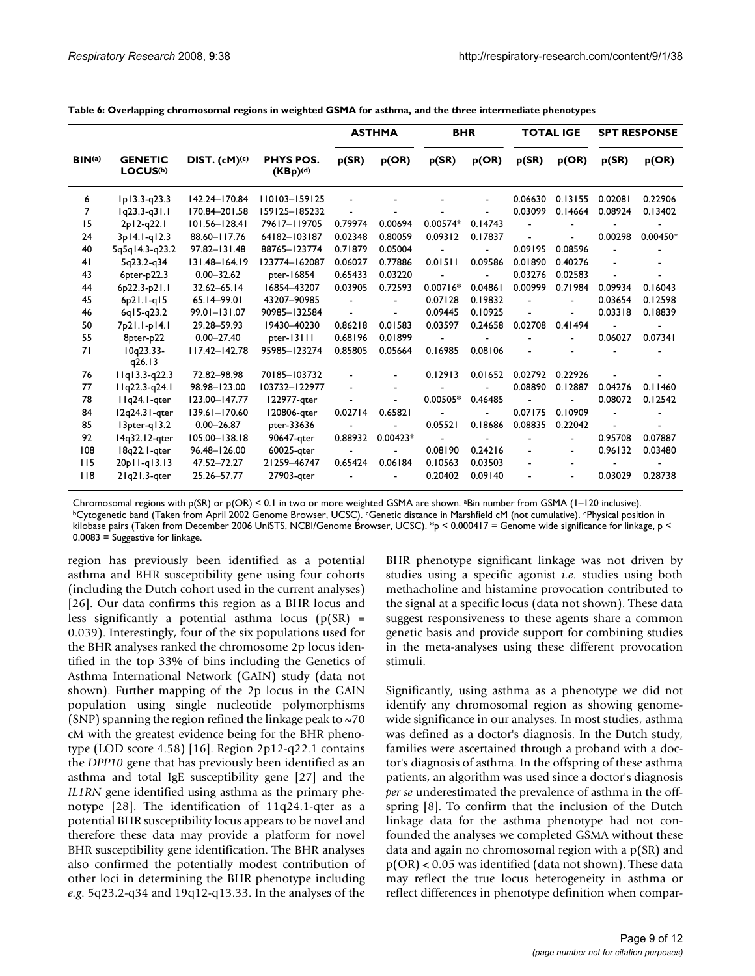|                    |                                        |                    |                                   |         |            |            | <b>ASTHMA</b> | <b>BHR</b> |                | <b>TOTAL IGE</b> |            | <b>SPT RESPONSE</b> |  |
|--------------------|----------------------------------------|--------------------|-----------------------------------|---------|------------|------------|---------------|------------|----------------|------------------|------------|---------------------|--|
| BIN <sup>(a)</sup> | <b>GENETIC</b><br>LOCUS <sup>(b)</sup> | $DIST. (cM)^{(c)}$ | <b>PHYS POS.</b><br>$(KBp)^{(d)}$ | p(SR)   | p(OR)      | p(SR)      | p(OR)         | p(SR)      | p(OR)          | p(SR)            | p(OR)      |                     |  |
| 6                  | Ip13.3-q23.3                           | 142.24-170.84      | 110103-159125                     |         |            |            |               | 0.06630    | 0.13155        | 0.02081          | 0.22906    |                     |  |
| 7                  | $1q23.3-q31.1$                         | 170.84-201.58      | 159125-185232                     |         |            |            |               | 0.03099    | 0.14664        | 0.08924          | 0.13402    |                     |  |
| 15                 | 2p12-q22.1                             | $101.56 - 128.41$  | 79617-119705                      | 0.79974 | 0.00694    | 0.00574*   | 0.14743       |            |                |                  |            |                     |  |
| 24                 | 3p14.1-q12.3                           | 88.60-117.76       | 64182-103187                      | 0.02348 | 0.80059    | 0.09312    | 0.17837       |            |                | 0.00298          | $0.00450*$ |                     |  |
| 40                 | 5q5q14.3-q23.2                         | $97.82 - 131.48$   | 88765-123774                      | 0.71879 | 0.05004    |            |               | 0.09195    | 0.08596        |                  |            |                     |  |
| 41                 | 5q23.2-q34                             | 131.48-164.19      | 123774-162087                     | 0.06027 | 0.77886    | 0.01511    | 0.09586       | 0.01890    | 0.40276        |                  |            |                     |  |
| 43                 | $6pter-p22.3$                          | $0.00 - 32.62$     | pter-16854                        | 0.65433 | 0.03220    |            |               | 0.03276    | 0.02583        |                  |            |                     |  |
| 44                 | 6p22.3-p21.1                           | $32.62 - 65.14$    | 16854-43207                       | 0.03905 | 0.72593    | $0.00716*$ | 0.04861       | 0.00999    | 0.71984        | 0.09934          | 0.16043    |                     |  |
| 45                 | $6p21.1-q15$                           | 65.14-99.01        | 43207-90985                       |         |            | 0.07128    | 0.19832       |            |                | 0.03654          | 0.12598    |                     |  |
| 46                 | $6q15-q23.2$                           | 99.01-131.07       | 90985-132584                      |         |            | 0.09445    | 0.10925       |            |                | 0.03318          | 0.18839    |                     |  |
| 50                 | 7p21.1-p14.1                           | 29.28-59.93        | 19430-40230                       | 0.86218 | 0.01583    | 0.03597    | 0.24658       | 0.02708    | 0.41494        |                  |            |                     |  |
| 55                 | 8pter-p22                              | $0.00 - 27.40$     | pter-13111                        | 0.68196 | 0.01899    |            |               |            |                | 0.06027          | 0.07341    |                     |  |
| 71                 | $10q23.33-$<br>q26.13                  | $117.42 - 142.78$  | 95985-123274                      | 0.85805 | 0.05664    | 0.16985    | 0.08106       |            |                |                  |            |                     |  |
| 76                 | $11q13.3-q22.3$                        | 72.82-98.98        | 70185-103732                      |         |            | 0.12913    | 0.01652       | 0.02792    | 0.22926        |                  |            |                     |  |
| 77                 | I Iq22.3-q24.1                         | 98.98-123.00       | 103732-122977                     |         |            |            |               | 0.08890    | 0.12887        | 0.04276          | 0.11460    |                     |  |
| 78                 | IIq24.I-qter                           | 123.00-147.77      | 122977-qter                       |         |            | $0.00505*$ | 0.46485       |            |                | 0.08072          | 0.12542    |                     |  |
| 84                 | 12q24.31-qter                          | $139.61 - 170.60$  | 120806-gter                       | 0.02714 | 0.65821    |            |               | 0.07175    | 0.10909        |                  |            |                     |  |
| 85                 | $13pter-g13.2$                         | $0.00 - 26.87$     | pter-33636                        |         |            | 0.05521    | 0.18686       | 0.08835    | 0.22042        |                  |            |                     |  |
| 92                 | 14q32.12-gter                          | 105.00-138.18      | 90647-gter                        | 0.88932 | $0.00423*$ |            |               |            | $\overline{a}$ | 0.95708          | 0.07887    |                     |  |
| 108                | 18q22.1-qter                           | 96.48-126.00       | 60025-qter                        |         |            | 0.08190    | 0.24216       |            |                | 0.96132          | 0.03480    |                     |  |
| 115                | 20pll-gl3.13                           | 47.52-72.27        | 21259-46747                       | 0.65424 | 0.06184    | 0.10563    | 0.03503       |            |                |                  |            |                     |  |
| 118                | $2 q2 .3$ -gter                        | 25.26-57.77        | 27903-gter                        |         |            | 0.20402    | 0.09140       |            |                | 0.03029          | 0.28738    |                     |  |

**Table 6: Overlapping chromosomal regions in weighted GSMA for asthma, and the three intermediate phenotypes**

Chromosomal regions with p(SR) or p(OR) < 0.1 in two or more weighted GSMA are shown. <sup>a</sup>Bin number from GSMA (1–120 inclusive).<br><sup>b</sup>Cytogenetic band (Taken from April 2002 Genome Browser, UCSC). *C*Genetic distance in Mars kilobase pairs (Taken from December 2006 UniSTS, NCBI/Genome Browser, UCSC). \*p < 0.000417 = Genome wide significance for linkage, p < 0.0083 = Suggestive for linkage.

region has previously been identified as a potential asthma and BHR susceptibility gene using four cohorts (including the Dutch cohort used in the current analyses) [26]. Our data confirms this region as a BHR locus and less significantly a potential asthma locus  $(p(SR)$  = 0.039). Interestingly, four of the six populations used for the BHR analyses ranked the chromosome 2p locus identified in the top 33% of bins including the Genetics of Asthma International Network (GAIN) study (data not shown). Further mapping of the 2p locus in the GAIN population using single nucleotide polymorphisms (SNP) spanning the region refined the linkage peak to  $~5$ cM with the greatest evidence being for the BHR phenotype (LOD score 4.58) [16]. Region 2p12-q22.1 contains the *DPP10* gene that has previously been identified as an asthma and total IgE susceptibility gene [27] and the *IL1RN* gene identified using asthma as the primary phenotype [28]. The identification of 11q24.1-qter as a potential BHR susceptibility locus appears to be novel and therefore these data may provide a platform for novel BHR susceptibility gene identification. The BHR analyses also confirmed the potentially modest contribution of other loci in determining the BHR phenotype including *e.g*. 5q23.2-q34 and 19q12-q13.33. In the analyses of the BHR phenotype significant linkage was not driven by studies using a specific agonist *i.e*. studies using both methacholine and histamine provocation contributed to the signal at a specific locus (data not shown). These data suggest responsiveness to these agents share a common genetic basis and provide support for combining studies in the meta-analyses using these different provocation stimuli.

Significantly, using asthma as a phenotype we did not identify any chromosomal region as showing genomewide significance in our analyses. In most studies, asthma was defined as a doctor's diagnosis. In the Dutch study, families were ascertained through a proband with a doctor's diagnosis of asthma. In the offspring of these asthma patients, an algorithm was used since a doctor's diagnosis *per se* underestimated the prevalence of asthma in the offspring [8]. To confirm that the inclusion of the Dutch linkage data for the asthma phenotype had not confounded the analyses we completed GSMA without these data and again no chromosomal region with a p(SR) and p(OR) < 0.05 was identified (data not shown). These data may reflect the true locus heterogeneity in asthma or reflect differences in phenotype definition when compar-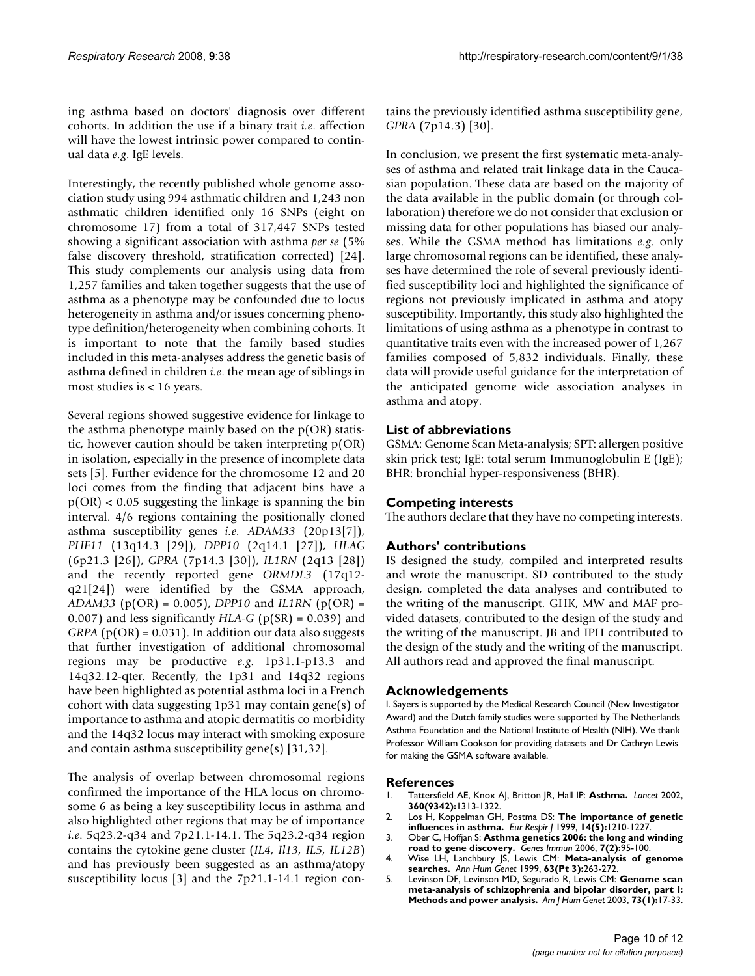ing asthma based on doctors' diagnosis over different cohorts. In addition the use if a binary trait *i.e*. affection will have the lowest intrinsic power compared to continual data *e.g*. IgE levels.

Interestingly, the recently published whole genome association study using 994 asthmatic children and 1,243 non asthmatic children identified only 16 SNPs (eight on chromosome 17) from a total of 317,447 SNPs tested showing a significant association with asthma *per se* (5% false discovery threshold, stratification corrected) [24]. This study complements our analysis using data from 1,257 families and taken together suggests that the use of asthma as a phenotype may be confounded due to locus heterogeneity in asthma and/or issues concerning phenotype definition/heterogeneity when combining cohorts. It is important to note that the family based studies included in this meta-analyses address the genetic basis of asthma defined in children *i.e*. the mean age of siblings in most studies is < 16 years.

Several regions showed suggestive evidence for linkage to the asthma phenotype mainly based on the p(OR) statistic, however caution should be taken interpreting p(OR) in isolation, especially in the presence of incomplete data sets [5]. Further evidence for the chromosome 12 and 20 loci comes from the finding that adjacent bins have a  $p(OR) < 0.05$  suggesting the linkage is spanning the bin interval. 4/6 regions containing the positionally cloned asthma susceptibility genes *i.e. ADAM33* (20p13[7]), *PHF11* (13q14.3 [29]), *DPP10* (2q14.1 [27]), *HLAG* (6p21.3 [26]), *GPRA* (7p14.3 [30]), *IL1RN* (2q13 [28]) and the recently reported gene *ORMDL3* (17q12 q21[24]) were identified by the GSMA approach, *ADAM33* (p(OR) = 0.005), *DPP10* and *IL1RN* (p(OR) = 0.007) and less significantly *HLA-G* (p(SR) = 0.039) and  $GRPA$  ( $p(OR) = 0.031$ ). In addition our data also suggests that further investigation of additional chromosomal regions may be productive *e.g*. 1p31.1-p13.3 and 14q32.12-qter. Recently, the 1p31 and 14q32 regions have been highlighted as potential asthma loci in a French cohort with data suggesting 1p31 may contain gene(s) of importance to asthma and atopic dermatitis co morbidity and the 14q32 locus may interact with smoking exposure and contain asthma susceptibility gene(s) [31,32].

The analysis of overlap between chromosomal regions confirmed the importance of the HLA locus on chromosome 6 as being a key susceptibility locus in asthma and also highlighted other regions that may be of importance *i.e*. 5q23.2-q34 and 7p21.1-14.1. The 5q23.2-q34 region contains the cytokine gene cluster (*IL4, Il13, IL5, IL12B*) and has previously been suggested as an asthma/atopy susceptibility locus [3] and the 7p21.1-14.1 region contains the previously identified asthma susceptibility gene, *GPRA* (7p14.3) [30].

In conclusion, we present the first systematic meta-analyses of asthma and related trait linkage data in the Caucasian population. These data are based on the majority of the data available in the public domain (or through collaboration) therefore we do not consider that exclusion or missing data for other populations has biased our analyses. While the GSMA method has limitations *e.g*. only large chromosomal regions can be identified, these analyses have determined the role of several previously identified susceptibility loci and highlighted the significance of regions not previously implicated in asthma and atopy susceptibility. Importantly, this study also highlighted the limitations of using asthma as a phenotype in contrast to quantitative traits even with the increased power of 1,267 families composed of 5,832 individuals. Finally, these data will provide useful guidance for the interpretation of the anticipated genome wide association analyses in asthma and atopy.

# **List of abbreviations**

GSMA: Genome Scan Meta-analysis; SPT: allergen positive skin prick test; IgE: total serum Immunoglobulin E (IgE); BHR: bronchial hyper-responsiveness (BHR).

# **Competing interests**

The authors declare that they have no competing interests.

# **Authors' contributions**

IS designed the study, compiled and interpreted results and wrote the manuscript. SD contributed to the study design, completed the data analyses and contributed to the writing of the manuscript. GHK, MW and MAF provided datasets, contributed to the design of the study and the writing of the manuscript. JB and IPH contributed to the design of the study and the writing of the manuscript. All authors read and approved the final manuscript.

# **Acknowledgements**

I. Sayers is supported by the Medical Research Council (New Investigator Award) and the Dutch family studies were supported by The Netherlands Asthma Foundation and the National Institute of Health (NIH). We thank Professor William Cookson for providing datasets and Dr Cathryn Lewis for making the GSMA software available.

#### **References**

- 1. Tattersfield AE, Knox AJ, Britton JR, Hall IP: **[Asthma.](http://www.ncbi.nlm.nih.gov/entrez/query.fcgi?cmd=Retrieve&db=PubMed&dopt=Abstract&list_uids=12414223)** *Lancet* 2002, **360(9342):**1313-1322.
- 2. Los H, Koppelman GH, Postma DS: **[The importance of genetic](http://www.ncbi.nlm.nih.gov/entrez/query.fcgi?cmd=Retrieve&db=PubMed&dopt=Abstract&list_uids=10596715) [influences in asthma.](http://www.ncbi.nlm.nih.gov/entrez/query.fcgi?cmd=Retrieve&db=PubMed&dopt=Abstract&list_uids=10596715)** *Eur Respir J* 1999, **14(5):**1210-1227.
- 3. Ober C, Hoffjan S: **[Asthma genetics 2006: the long and winding](http://www.ncbi.nlm.nih.gov/entrez/query.fcgi?cmd=Retrieve&db=PubMed&dopt=Abstract&list_uids=16395390) [road to gene discovery.](http://www.ncbi.nlm.nih.gov/entrez/query.fcgi?cmd=Retrieve&db=PubMed&dopt=Abstract&list_uids=16395390)** *Genes Immun* 2006, **7(2):**95-100.
- 4. Wise LH, Lanchbury JS, Lewis CM: **[Meta-analysis of genome](http://www.ncbi.nlm.nih.gov/entrez/query.fcgi?cmd=Retrieve&db=PubMed&dopt=Abstract&list_uids=10738538) [searches.](http://www.ncbi.nlm.nih.gov/entrez/query.fcgi?cmd=Retrieve&db=PubMed&dopt=Abstract&list_uids=10738538)** *Ann Hum Genet* 1999, **63(Pt 3):**263-272.
- 5. Levinson DF, Levinson MD, Segurado R, Lewis CM: **[Genome scan](http://www.ncbi.nlm.nih.gov/entrez/query.fcgi?cmd=Retrieve&db=PubMed&dopt=Abstract&list_uids=12802787) [meta-analysis of schizophrenia and bipolar disorder, part I:](http://www.ncbi.nlm.nih.gov/entrez/query.fcgi?cmd=Retrieve&db=PubMed&dopt=Abstract&list_uids=12802787) [Methods and power analysis.](http://www.ncbi.nlm.nih.gov/entrez/query.fcgi?cmd=Retrieve&db=PubMed&dopt=Abstract&list_uids=12802787)** *Am J Hum Genet* 2003, **73(1):**17-33.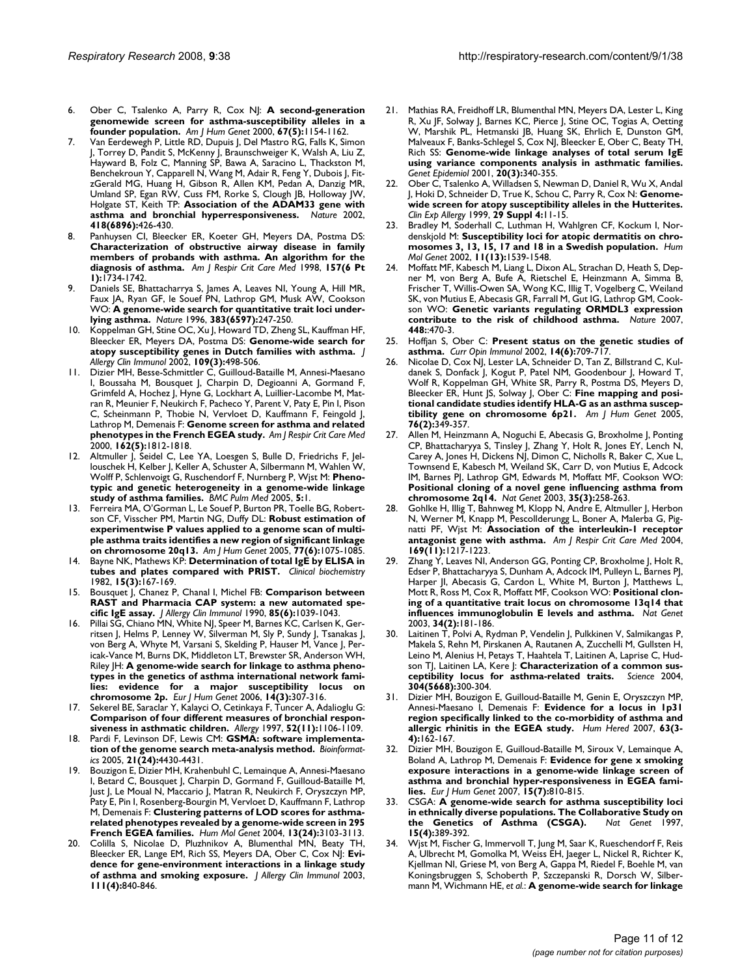- 6. Ober C, Tsalenko A, Parry R, Cox NJ: **[A second-generation](http://www.ncbi.nlm.nih.gov/entrez/query.fcgi?cmd=Retrieve&db=PubMed&dopt=Abstract&list_uids=11022011) [genomewide screen for asthma-susceptibility alleles in a](http://www.ncbi.nlm.nih.gov/entrez/query.fcgi?cmd=Retrieve&db=PubMed&dopt=Abstract&list_uids=11022011) [founder population.](http://www.ncbi.nlm.nih.gov/entrez/query.fcgi?cmd=Retrieve&db=PubMed&dopt=Abstract&list_uids=11022011)** *Am J Hum Genet* 2000, **67(5):**1154-1162.
- 7. Van Eerdewegh P, Little RD, Dupuis J, Del Mastro RG, Falls K, Simon J, Torrey D, Pandit S, McKenny J, Braunschweiger K, Walsh A, Liu Z, Hayward B, Folz C, Manning SP, Bawa A, Saracino L, Thackston M, Benchekroun Y, Capparell N, Wang M, Adair R, Feng Y, Dubois J, FitzGerald MG, Huang H, Gibson R, Allen KM, Pedan A, Danzig MR, Umland SP, Egan RW, Cuss FM, Rorke S, Clough JB, Holloway JW, Holgate ST, Keith TP: **[Association of the ADAM33 gene with](http://www.ncbi.nlm.nih.gov/entrez/query.fcgi?cmd=Retrieve&db=PubMed&dopt=Abstract&list_uids=12110844) [asthma and bronchial hyperresponsiveness.](http://www.ncbi.nlm.nih.gov/entrez/query.fcgi?cmd=Retrieve&db=PubMed&dopt=Abstract&list_uids=12110844)** *Nature* 2002, **418(6896):**426-430.
- 8. Panhuysen CI, Bleecker ER, Koeter GH, Meyers DA, Postma DS: **[Characterization of obstructive airway disease in family](http://www.ncbi.nlm.nih.gov/entrez/query.fcgi?cmd=Retrieve&db=PubMed&dopt=Abstract&list_uids=9620899) members of probands with asthma. An algorithm for the [diagnosis of asthma.](http://www.ncbi.nlm.nih.gov/entrez/query.fcgi?cmd=Retrieve&db=PubMed&dopt=Abstract&list_uids=9620899)** *Am J Respir Crit Care Med* 1998, **157(6 Pt 1):**1734-1742.
- Daniels SE, Bhattacharrya S, James A, Leaves NI, Young A, Hill MR, Faux JA, Ryan GF, le Souef PN, Lathrop GM, Musk AW, Cookson WO: **[A genome-wide search for quantitative trait loci under](http://www.ncbi.nlm.nih.gov/entrez/query.fcgi?cmd=Retrieve&db=PubMed&dopt=Abstract&list_uids=8805698)[lying asthma.](http://www.ncbi.nlm.nih.gov/entrez/query.fcgi?cmd=Retrieve&db=PubMed&dopt=Abstract&list_uids=8805698)** *Nature* 1996, **383(6597):**247-250.
- Koppelman GH, Stine OC, Xu J, Howard TD, Zheng SL, Kauffman HF, Bleecker ER, Meyers DA, Postma DS: **[Genome-wide search for](http://www.ncbi.nlm.nih.gov/entrez/query.fcgi?cmd=Retrieve&db=PubMed&dopt=Abstract&list_uids=11897998) [atopy susceptibility genes in Dutch families with asthma.](http://www.ncbi.nlm.nih.gov/entrez/query.fcgi?cmd=Retrieve&db=PubMed&dopt=Abstract&list_uids=11897998)** *J Allergy Clin Immunol* 2002, **109(3):**498-506.
- 11. Dizier MH, Besse-Schmittler C, Guilloud-Bataille M, Annesi-Maesano I, Boussaha M, Bousquet J, Charpin D, Degioanni A, Gormand F, Grimfeld A, Hochez J, Hyne G, Lockhart A, Luillier-Lacombe M, Matran R, Meunier F, Neukirch F, Pacheco Y, Parent V, Paty E, Pin I, Pison C, Scheinmann P, Thobie N, Vervloet D, Kauffmann F, Feingold J, Lathrop M, Demenais F: **[Genome screen for asthma and related](http://www.ncbi.nlm.nih.gov/entrez/query.fcgi?cmd=Retrieve&db=PubMed&dopt=Abstract&list_uids=11069818) [phenotypes in the French EGEA study.](http://www.ncbi.nlm.nih.gov/entrez/query.fcgi?cmd=Retrieve&db=PubMed&dopt=Abstract&list_uids=11069818)** *Am J Respir Crit Care Med* 2000, **162(5):**1812-1818.
- 12. Altmuller J, Seidel C, Lee YA, Loesgen S, Bulle D, Friedrichs F, Jellouschek H, Kelber J, Keller A, Schuster A, Silbermann M, Wahlen W, Wolff P, Schlenvoigt G, Ruschendorf F, Nurnberg P, Wjst M: **[Pheno](http://www.ncbi.nlm.nih.gov/entrez/query.fcgi?cmd=Retrieve&db=PubMed&dopt=Abstract&list_uids=15634351)[typic and genetic heterogeneity in a genome-wide linkage](http://www.ncbi.nlm.nih.gov/entrez/query.fcgi?cmd=Retrieve&db=PubMed&dopt=Abstract&list_uids=15634351) [study of asthma families.](http://www.ncbi.nlm.nih.gov/entrez/query.fcgi?cmd=Retrieve&db=PubMed&dopt=Abstract&list_uids=15634351)** *BMC Pulm Med* 2005, **5:**1.
- 13. Ferreira MA, O'Gorman L, Le Souef P, Burton PR, Toelle BG, Robertson CF, Visscher PM, Martin NG, Duffy DL: **[Robust estimation of](http://www.ncbi.nlm.nih.gov/entrez/query.fcgi?cmd=Retrieve&db=PubMed&dopt=Abstract&list_uids=16380917) [experimentwise P values applied to a genome scan of multi](http://www.ncbi.nlm.nih.gov/entrez/query.fcgi?cmd=Retrieve&db=PubMed&dopt=Abstract&list_uids=16380917)ple asthma traits identifies a new region of significant linkage [on chromosome 20q13.](http://www.ncbi.nlm.nih.gov/entrez/query.fcgi?cmd=Retrieve&db=PubMed&dopt=Abstract&list_uids=16380917)** *Am J Hum Genet* 2005, **77(6):**1075-1085.
- 14. Bayne NK, Mathews KP: **[Determination of total IgE by ELISA in](http://www.ncbi.nlm.nih.gov/entrez/query.fcgi?cmd=Retrieve&db=PubMed&dopt=Abstract&list_uids=7116627) [tubes and plates compared with PRIST.](http://www.ncbi.nlm.nih.gov/entrez/query.fcgi?cmd=Retrieve&db=PubMed&dopt=Abstract&list_uids=7116627)** *Clinical biochemistry* 1982, **15(3):**167-169.
- 15. Bousquet J, Chanez P, Chanal I, Michel FB: **[Comparison between](http://www.ncbi.nlm.nih.gov/entrez/query.fcgi?cmd=Retrieve&db=PubMed&dopt=Abstract&list_uids=2191989) [RAST and Pharmacia CAP system: a new automated spe](http://www.ncbi.nlm.nih.gov/entrez/query.fcgi?cmd=Retrieve&db=PubMed&dopt=Abstract&list_uids=2191989)[cific IgE assay.](http://www.ncbi.nlm.nih.gov/entrez/query.fcgi?cmd=Retrieve&db=PubMed&dopt=Abstract&list_uids=2191989)** *J Allergy Clin Immunol* 1990, **85(6):**1039-1043.
- Pillai SG, Chiano MN, White NJ, Speer M, Barnes KC, Carlsen K, Gerritsen J, Helms P, Lenney W, Silverman M, Sly P, Sundy J, Tsanakas J, von Berg A, Whyte M, Varsani S, Skelding P, Hauser M, Vance J, Pericak-Vance M, Burns DK, Middleton LT, Brewster SR, Anderson WH, Riley JH: **[A genome-wide search for linkage to asthma pheno](http://www.ncbi.nlm.nih.gov/entrez/query.fcgi?cmd=Retrieve&db=PubMed&dopt=Abstract&list_uids=16391567)[types in the genetics of asthma international network fami](http://www.ncbi.nlm.nih.gov/entrez/query.fcgi?cmd=Retrieve&db=PubMed&dopt=Abstract&list_uids=16391567)lies: evidence for a major susceptibility locus on [chromosome 2p.](http://www.ncbi.nlm.nih.gov/entrez/query.fcgi?cmd=Retrieve&db=PubMed&dopt=Abstract&list_uids=16391567)** *Eur J Hum Genet* 2006, **14(3):**307-316.
- 17. Sekerel BE, Saraclar Y, Kalayci O, Cetinkaya F, Tuncer A, Adalioglu G: **[Comparison of four different measures of bronchial respon](http://www.ncbi.nlm.nih.gov/entrez/query.fcgi?cmd=Retrieve&db=PubMed&dopt=Abstract&list_uids=9404563)[siveness in asthmatic children.](http://www.ncbi.nlm.nih.gov/entrez/query.fcgi?cmd=Retrieve&db=PubMed&dopt=Abstract&list_uids=9404563)** *Allergy* 1997, **52(11):**1106-1109.
- 18. Pardi F, Levinson DF, Lewis CM: **[GSMA: software implementa](http://www.ncbi.nlm.nih.gov/entrez/query.fcgi?cmd=Retrieve&db=PubMed&dopt=Abstract&list_uids=16249265)[tion of the genome search meta-analysis method.](http://www.ncbi.nlm.nih.gov/entrez/query.fcgi?cmd=Retrieve&db=PubMed&dopt=Abstract&list_uids=16249265)** *Bioinformatics* 2005, **21(24):**4430-4431.
- 19. Bouzigon E, Dizier MH, Krahenbuhl C, Lemainque A, Annesi-Maesano I, Betard C, Bousquet J, Charpin D, Gormand F, Guilloud-Bataille M, Just J, Le Moual N, Maccario J, Matran R, Neukirch F, Oryszczyn MP, Paty E, Pin I, Rosenberg-Bourgin M, Vervloet D, Kauffmann F, Lathrop M, Demenais F: **[Clustering patterns of LOD scores for asthma](http://www.ncbi.nlm.nih.gov/entrez/query.fcgi?cmd=Retrieve&db=PubMed&dopt=Abstract&list_uids=15509591)[related phenotypes revealed by a genome-wide screen in 295](http://www.ncbi.nlm.nih.gov/entrez/query.fcgi?cmd=Retrieve&db=PubMed&dopt=Abstract&list_uids=15509591) [French EGEA families.](http://www.ncbi.nlm.nih.gov/entrez/query.fcgi?cmd=Retrieve&db=PubMed&dopt=Abstract&list_uids=15509591)** *Hum Mol Genet* 2004, **13(24):**3103-3113.
- 20. Colilla S, Nicolae D, Pluzhnikov A, Blumenthal MN, Beaty TH, Bleecker ER, Lange EM, Rich SS, Meyers DA, Ober C, Cox NJ: **[Evi](http://www.ncbi.nlm.nih.gov/entrez/query.fcgi?cmd=Retrieve&db=PubMed&dopt=Abstract&list_uids=12704367)[dence for gene-environment interactions in a linkage study](http://www.ncbi.nlm.nih.gov/entrez/query.fcgi?cmd=Retrieve&db=PubMed&dopt=Abstract&list_uids=12704367) [of asthma and smoking exposure.](http://www.ncbi.nlm.nih.gov/entrez/query.fcgi?cmd=Retrieve&db=PubMed&dopt=Abstract&list_uids=12704367)** *J Allergy Clin Immunol* 2003, **111(4):**840-846.
- 21. Mathias RA, Freidhoff LR, Blumenthal MN, Meyers DA, Lester L, King R, Xu JF, Solway J, Barnes KC, Pierce J, Stine OC, Togias A, Oetting W, Marshik PL, Hetmanski JB, Huang SK, Ehrlich E, Dunston GM, Malveaux F, Banks-Schlegel S, Cox NJ, Bleecker E, Ober C, Beaty TH, Rich SS: **[Genome-wide linkage analyses of total serum IgE](http://www.ncbi.nlm.nih.gov/entrez/query.fcgi?cmd=Retrieve&db=PubMed&dopt=Abstract&list_uids=11255243) [using variance components analysis in asthmatic families.](http://www.ncbi.nlm.nih.gov/entrez/query.fcgi?cmd=Retrieve&db=PubMed&dopt=Abstract&list_uids=11255243)** *Genet Epidemiol* 2001, **20(3):**340-355.
- 22. Ober C, Tsalenko A, Willadsen S, Newman D, Daniel R, Wu X, Andal J, Hoki D, Schneider D, True K, Schou C, Parry R, Cox N: **[Genome](http://www.ncbi.nlm.nih.gov/entrez/query.fcgi?cmd=Retrieve&db=PubMed&dopt=Abstract&list_uids=10641559)[wide screen for atopy susceptibility alleles in the Hutterites.](http://www.ncbi.nlm.nih.gov/entrez/query.fcgi?cmd=Retrieve&db=PubMed&dopt=Abstract&list_uids=10641559)** *Clin Exp Allergy* 1999, **29 Suppl 4:**11-15.
- 23. Bradley M, Soderhall C, Luthman H, Wahlgren CF, Kockum I, Nordenskjold M: **[Susceptibility loci for atopic dermatitis on chro](http://www.ncbi.nlm.nih.gov/entrez/query.fcgi?cmd=Retrieve&db=PubMed&dopt=Abstract&list_uids=12045207)[mosomes 3, 13, 15, 17 and 18 in a Swedish population.](http://www.ncbi.nlm.nih.gov/entrez/query.fcgi?cmd=Retrieve&db=PubMed&dopt=Abstract&list_uids=12045207)** *Hum Mol Genet* 2002, **11(13):**1539-1548.
- Moffatt MF, Kabesch M, Liang L, Dixon AL, Strachan D, Heath S, Depner M, von Berg A, Bufe A, Rietschel E, Heinzmann A, Simma B, Frischer T, Willis-Owen SA, Wong KC, Illig T, Vogelberg C, Weiland SK, von Mutius E, Abecasis GR, Farrall M, Gut IG, Lathrop GM, Cookson WO: **[Genetic variants regulating ORMDL3 expression](http://www.ncbi.nlm.nih.gov/entrez/query.fcgi?cmd=Retrieve&db=PubMed&dopt=Abstract&list_uids=17611496) [contribute to the risk of childhood asthma.](http://www.ncbi.nlm.nih.gov/entrez/query.fcgi?cmd=Retrieve&db=PubMed&dopt=Abstract&list_uids=17611496)** *Nature* 2007, **448:**:470-3.
- 25. Hoffjan S, Ober C: **[Present status on the genetic studies of](http://www.ncbi.nlm.nih.gov/entrez/query.fcgi?cmd=Retrieve&db=PubMed&dopt=Abstract&list_uids=12413520) [asthma.](http://www.ncbi.nlm.nih.gov/entrez/query.fcgi?cmd=Retrieve&db=PubMed&dopt=Abstract&list_uids=12413520)** *Curr Opin Immunol* 2002, **14(6):**709-717.
- Nicolae D, Cox NJ, Lester LA, Schneider D, Tan Z, Billstrand C, Kuldanek S, Donfack J, Kogut P, Patel NM, Goodenbour J, Howard T, Wolf R, Koppelman GH, White SR, Parry R, Postma DS, Meyers D, Bleecker ER, Hunt JS, Solway J, Ober C: **[Fine mapping and posi](http://www.ncbi.nlm.nih.gov/entrez/query.fcgi?cmd=Retrieve&db=PubMed&dopt=Abstract&list_uids=15611928)[tional candidate studies identify HLA-G as an asthma suscep](http://www.ncbi.nlm.nih.gov/entrez/query.fcgi?cmd=Retrieve&db=PubMed&dopt=Abstract&list_uids=15611928)[tibility gene on chromosome 6p21.](http://www.ncbi.nlm.nih.gov/entrez/query.fcgi?cmd=Retrieve&db=PubMed&dopt=Abstract&list_uids=15611928)** *Am J Hum Genet* 2005, **76(2):**349-357.
- 27. Allen M, Heinzmann A, Noguchi E, Abecasis G, Broxholme J, Ponting CP, Bhattacharyya S, Tinsley J, Zhang Y, Holt R, Jones EY, Lench N, Carey A, Jones H, Dickens NJ, Dimon C, Nicholls R, Baker C, Xue L, Townsend E, Kabesch M, Weiland SK, Carr D, von Mutius E, Adcock IM, Barnes PJ, Lathrop GM, Edwards M, Moffatt MF, Cookson WO: **[Positional cloning of a novel gene influencing asthma from](http://www.ncbi.nlm.nih.gov/entrez/query.fcgi?cmd=Retrieve&db=PubMed&dopt=Abstract&list_uids=14566338) [chromosome 2q14.](http://www.ncbi.nlm.nih.gov/entrez/query.fcgi?cmd=Retrieve&db=PubMed&dopt=Abstract&list_uids=14566338)** *Nat Genet* 2003, **35(3):**258-263.
- 28. Gohlke H, Illig T, Bahnweg M, Klopp N, Andre E, Altmuller J, Herbon N, Werner M, Knapp M, Pescollderungg L, Boner A, Malerba G, Pignatti PF, Wjst M: **[Association of the interleukin-1 receptor](http://www.ncbi.nlm.nih.gov/entrez/query.fcgi?cmd=Retrieve&db=PubMed&dopt=Abstract&list_uids=15020290) [antagonist gene with asthma.](http://www.ncbi.nlm.nih.gov/entrez/query.fcgi?cmd=Retrieve&db=PubMed&dopt=Abstract&list_uids=15020290)** *Am J Respir Crit Care Med* 2004, **169(11):**1217-1223.
- 29. Zhang Y, Leaves NI, Anderson GG, Ponting CP, Broxholme J, Holt R, Edser P, Bhattacharyya S, Dunham A, Adcock IM, Pulleyn L, Barnes PJ, Harper JI, Abecasis G, Cardon L, White M, Burton J, Matthews L, Mott R, Ross M, Cox R, Moffatt MF, Cookson WO: **[Positional clon](http://www.ncbi.nlm.nih.gov/entrez/query.fcgi?cmd=Retrieve&db=PubMed&dopt=Abstract&list_uids=12754510)[ing of a quantitative trait locus on chromosome 13q14 that](http://www.ncbi.nlm.nih.gov/entrez/query.fcgi?cmd=Retrieve&db=PubMed&dopt=Abstract&list_uids=12754510) [influences immunoglobulin E levels and asthma.](http://www.ncbi.nlm.nih.gov/entrez/query.fcgi?cmd=Retrieve&db=PubMed&dopt=Abstract&list_uids=12754510)** *Nat Genet* 2003, **34(2):**181-186.
- 30. Laitinen T, Polvi A, Rydman P, Vendelin J, Pulkkinen V, Salmikangas P, Makela S, Rehn M, Pirskanen A, Rautanen A, Zucchelli M, Gullsten H, Leino M, Alenius H, Petays T, Haahtela T, Laitinen A, Laprise C, Hudson TJ, Laitinen LA, Kere J: **[Characterization of a common sus](http://www.ncbi.nlm.nih.gov/entrez/query.fcgi?cmd=Retrieve&db=PubMed&dopt=Abstract&list_uids=15073379)[ceptibility locus for asthma-related traits.](http://www.ncbi.nlm.nih.gov/entrez/query.fcgi?cmd=Retrieve&db=PubMed&dopt=Abstract&list_uids=15073379)** *Science* 2004, **304(5668):**300-304.
- 31. Dizier MH, Bouzigon E, Guilloud-Bataille M, Genin E, Oryszczyn MP, Annesi-Maesano I, Demenais F: **[Evidence for a locus in 1p31](http://www.ncbi.nlm.nih.gov/entrez/query.fcgi?cmd=Retrieve&db=PubMed&dopt=Abstract&list_uids=17310125) [region specifically linked to the co-morbidity of asthma and](http://www.ncbi.nlm.nih.gov/entrez/query.fcgi?cmd=Retrieve&db=PubMed&dopt=Abstract&list_uids=17310125) [allergic rhinitis in the EGEA study.](http://www.ncbi.nlm.nih.gov/entrez/query.fcgi?cmd=Retrieve&db=PubMed&dopt=Abstract&list_uids=17310125)** *Hum Hered* 2007, **63(3- 4):**162-167.
- 32. Dizier MH, Bouzigon E, Guilloud-Bataille M, Siroux V, Lemainque A, Boland A, Lathrop M, Demenais F: **[Evidence for gene x smoking](http://www.ncbi.nlm.nih.gov/entrez/query.fcgi?cmd=Retrieve&db=PubMed&dopt=Abstract&list_uids=17426724) [exposure interactions in a genome-wide linkage screen of](http://www.ncbi.nlm.nih.gov/entrez/query.fcgi?cmd=Retrieve&db=PubMed&dopt=Abstract&list_uids=17426724) asthma and bronchial hyper-responsiveness in EGEA fami[lies.](http://www.ncbi.nlm.nih.gov/entrez/query.fcgi?cmd=Retrieve&db=PubMed&dopt=Abstract&list_uids=17426724)** *Eur J Hum Genet* 2007, **15(7):**810-815.
- 33. CSGA: **[A genome-wide search for asthma susceptibility loci](http://www.ncbi.nlm.nih.gov/entrez/query.fcgi?cmd=Retrieve&db=PubMed&dopt=Abstract&list_uids=9090385) [in ethnically diverse populations. The Collaborative Study on](http://www.ncbi.nlm.nih.gov/entrez/query.fcgi?cmd=Retrieve&db=PubMed&dopt=Abstract&list_uids=9090385)** [the Genetics of Asthma \(CSGA\).](http://www.ncbi.nlm.nih.gov/entrez/query.fcgi?cmd=Retrieve&db=PubMed&dopt=Abstract&list_uids=9090385) **15(4):**389-392.
- 34. Wjst M, Fischer G, Immervoll T, Jung M, Saar K, Rueschendorf F, Reis A, Ulbrecht M, Gomolka M, Weiss EH, Jaeger L, Nickel R, Richter K, Kjellman NI, Griese M, von Berg A, Gappa M, Riedel F, Boehle M, van Koningsbruggen S, Schoberth P, Szczepanski R, Dorsch W, Silbermann M, Wichmann HE, *et al.*: **[A genome-wide search for linkage](http://www.ncbi.nlm.nih.gov/entrez/query.fcgi?cmd=Retrieve&db=PubMed&dopt=Abstract&list_uids=10333435)**